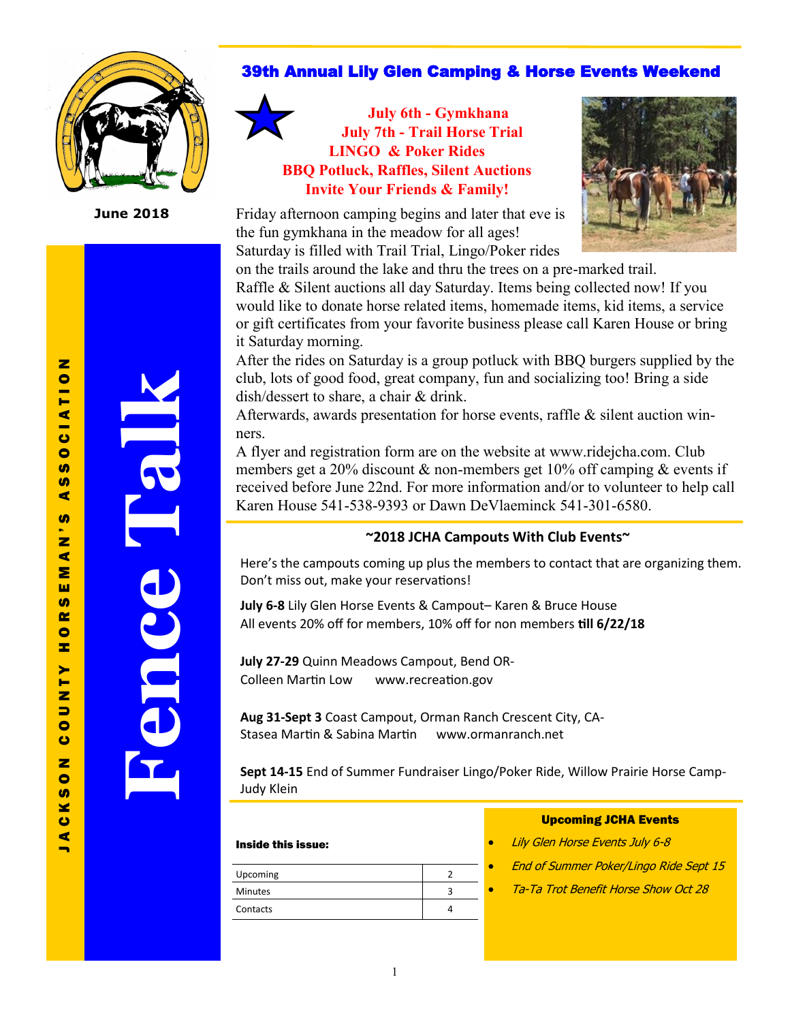

**June 2018**

#### 39th Annual Lily Glen Camping & Horse Events Weekend

**July 6th - Gymkhana July 7th - Trail Horse Trial LINGO & Poker Rides BBQ Potluck, Raffles, Silent Auctions Invite Your Friends & Family!** 

Friday afternoon camping begins and later that eve is the fun gymkhana in the meadow for all ages! Saturday is filled with Trail Trial, Lingo/Poker rides



on the trails around the lake and thru the trees on a pre-marked trail. Raffle & Silent auctions all day Saturday. Items being collected now! If you would like to donate horse related items, homemade items, kid items, a service or gift certificates from your favorite business please call Karen House or bring it Saturday morning.

After the rides on Saturday is a group potluck with BBQ burgers supplied by the club, lots of good food, great company, fun and socializing too! Bring a side dish/dessert to share, a chair & drink.

Afterwards, awards presentation for horse events, raffle & silent auction winners.

A flyer and registration form are on the website at www.ridejcha.com. Club members get a 20% discount  $\&$  non-members get 10% off camping  $\&$  events if received before June 22nd. For more information and/or to volunteer to help call Karen House 541-538-9393 or Dawn DeVlaeminck 541-301-6580.

#### **~2018 JCHA Campouts With Club Events~**

Here's the campouts coming up plus the members to contact that are organizing them. Don't miss out, make your reservations!

**July 6-8** Lily Glen Horse Events & Campout– Karen & Bruce House All events 20% off for members, 10% off for non members **till 6/22/18**

**July 27-29** Quinn Meadows Campout, Bend OR-Colleen Martin Low www.recreation.gov

**Aug 31-Sept 3** Coast Campout, Orman Ranch Crescent City, CA-Stasea Martin & Sabina Martin www.ormanranch.net

**Sept 14-15** End of Summer Fundraiser Lingo/Poker Ride, Willow Prairie Horse Camp-Judy Klein

#### Inside this issue:

| Upcoming       |  |
|----------------|--|
| <b>Minutes</b> |  |
| Contacts       |  |
|                |  |

#### Upcoming JCHA Events

- Lily Glen Horse Events July 6-8
- End of Summer Poker/Lingo Ride Sept 15
- Ta-Ta Trot Benefit Horse Show Oct 28

 $\blacksquare$ 

**Fence Talk**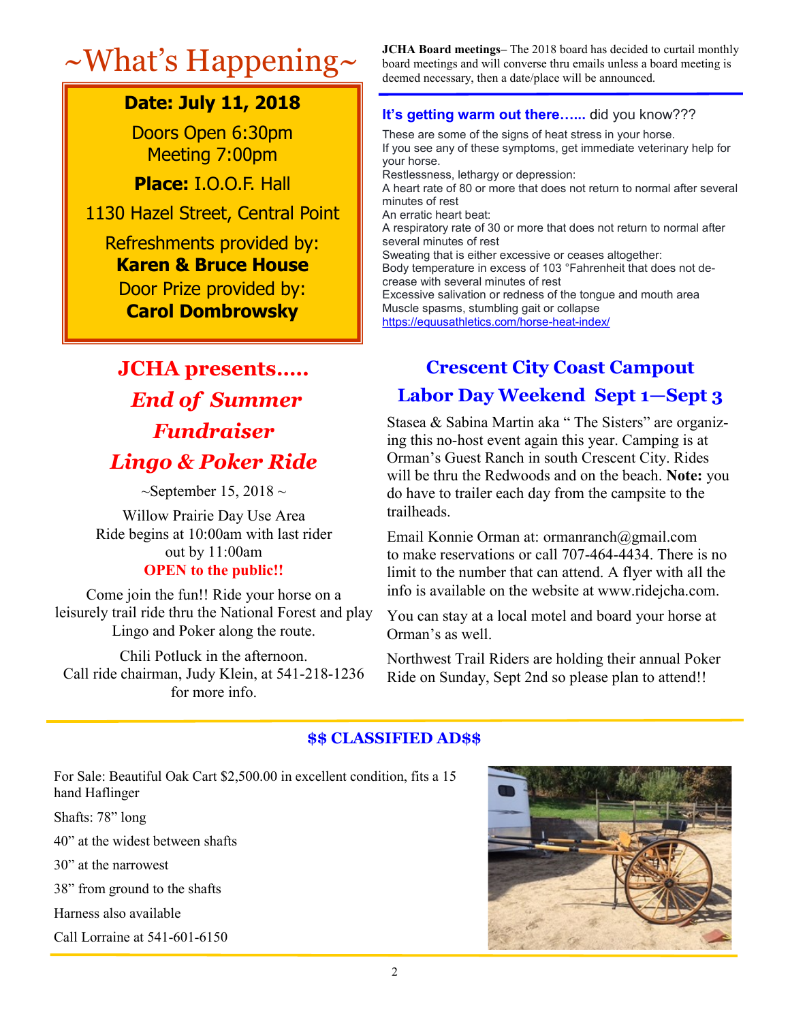# **Date: July 11, 2018**

Doors Open 6:30pm Meeting 7:00pm

**Place:** I.O.O.F. Hall

1130 Hazel Street, Central Point

### Refreshments provided by: **Karen & Bruce House**

Door Prize provided by: **Carol Dombrowsky**

# **JCHA presents…..** *End of Summer Fundraiser Lingo & Poker Ride*

 $\sim$ September 15, 2018  $\sim$ 

Willow Prairie Day Use Area Ride begins at 10:00am with last rider out by 11:00am

### **OPEN to the public!!**

Come join the fun!! Ride your horse on a leisurely trail ride thru the National Forest and play Lingo and Poker along the route.

Chili Potluck in the afternoon. Call ride chairman, Judy Klein, at 541-218-1236 for more info.

~What's Happening~ **JCHA Board meetings**– The 2018 board has decided to curtail monthly board has decided to curtail monthly board meetings and will converse thru emails unless a board meeting is deemed necessary, then a date/place will be announced.

#### **It's getting warm out there…...** did you know???

These are some of the signs of heat stress in your horse. If you see any of these symptoms, get immediate veterinary help for your horse. Restlessness, lethargy or depression: A heart rate of 80 or more that does not return to normal after several minutes of rest An erratic heart beat: A respiratory rate of 30 or more that does not return to normal after several minutes of rest Sweating that is either excessive or ceases altogether: Body temperature in excess of 103 °Fahrenheit that does not decrease with several minutes of rest Excessive salivation or redness of the tongue and mouth area Muscle spasms, stumbling gait or collapse [https://equusathletics.com/horse](https://equusathletics.com/horse-heat-index/)-heat-index/

# **Crescent City Coast Campout**

## **Labor Day Weekend Sept 1—Sept 3**

Stasea & Sabina Martin aka "The Sisters" are organizing this no-host event again this year. Camping is at Orman's Guest Ranch in south Crescent City. Rides will be thru the Redwoods and on the beach. **Note:** you do have to trailer each day from the campsite to the trailheads.

Email Konnie Orman at: ormanranch@gmail.com to make reservations or call 707-464-4434. There is no limit to the number that can attend. A flyer with all the info is available on the website at www.ridejcha.com.

You can stay at a local motel and board your horse at Orman's as well.

Northwest Trail Riders are holding their annual Poker Ride on Sunday, Sept 2nd so please plan to attend!!

#### **\$\$ CLASSIFIED AD\$\$**

For Sale: Beautiful Oak Cart \$2,500.00 in excellent condition, fits a 15 hand Haflinger

Shafts: 78" long

40" at the widest between shafts

30" at the narrowest

38" from ground to the shafts

Harness also available

Call Lorraine at 541-601-6150

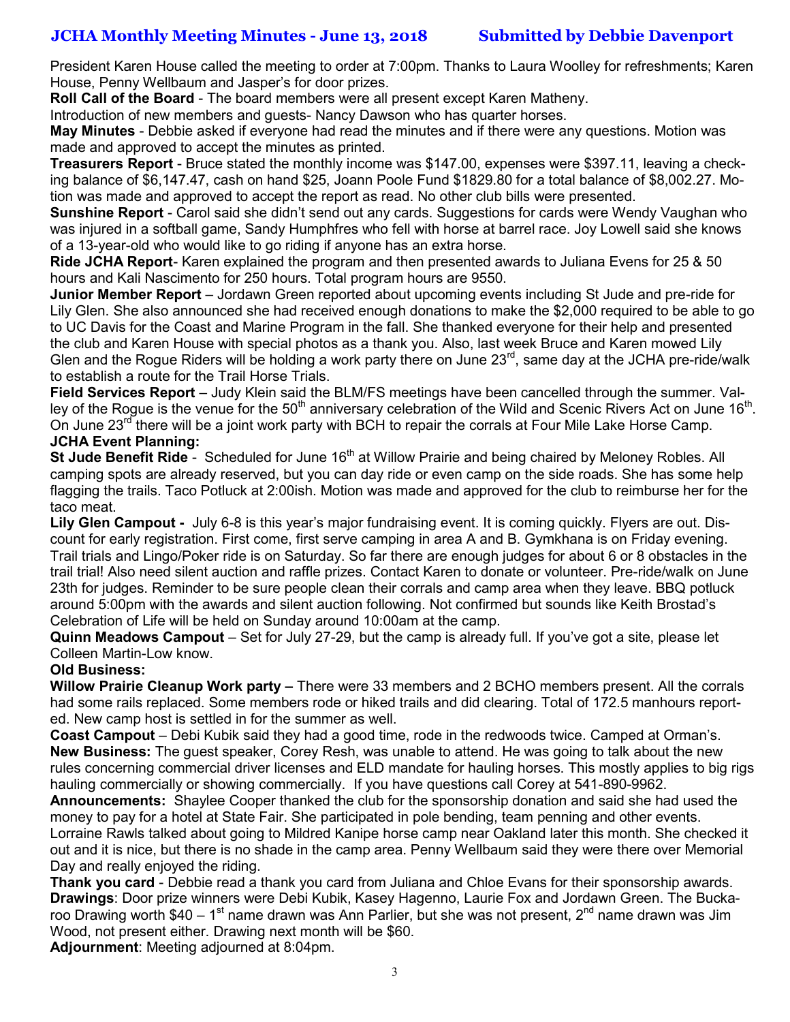#### **JCHA Monthly Meeting Minutes - June 13, 2018 Submitted by Debbie Davenport**

President Karen House called the meeting to order at 7:00pm. Thanks to Laura Woolley for refreshments; Karen House, Penny Wellbaum and Jasper's for door prizes.

**Roll Call of the Board** - The board members were all present except Karen Matheny.

Introduction of new members and guests- Nancy Dawson who has quarter horses.

**May Minutes** - Debbie asked if everyone had read the minutes and if there were any questions. Motion was made and approved to accept the minutes as printed.

**Treasurers Report** - Bruce stated the monthly income was \$147.00, expenses were \$397.11, leaving a checking balance of \$6,147.47, cash on hand \$25, Joann Poole Fund \$1829.80 for a total balance of \$8,002.27. Motion was made and approved to accept the report as read. No other club bills were presented.

**Sunshine Report** - Carol said she didn't send out any cards. Suggestions for cards were Wendy Vaughan who was injured in a softball game, Sandy Humphfres who fell with horse at barrel race. Joy Lowell said she knows of a 13-year-old who would like to go riding if anyone has an extra horse.

**Ride JCHA Report**- Karen explained the program and then presented awards to Juliana Evens for 25 & 50 hours and Kali Nascimento for 250 hours. Total program hours are 9550.

**Junior Member Report** – Jordawn Green reported about upcoming events including St Jude and pre-ride for Lily Glen. She also announced she had received enough donations to make the \$2,000 required to be able to go to UC Davis for the Coast and Marine Program in the fall. She thanked everyone for their help and presented the club and Karen House with special photos as a thank you. Also, last week Bruce and Karen mowed Lily Glen and the Rogue Riders will be holding a work party there on June  $23<sup>rd</sup>$ , same day at the JCHA pre-ride/walk to establish a route for the Trail Horse Trials.

**Field Services Report** – Judy Klein said the BLM/FS meetings have been cancelled through the summer. Valley of the Rogue is the venue for the 50<sup>th</sup> anniversary celebration of the Wild and Scenic Rivers Act on June 16<sup>th</sup>. On June  $23^{rd}$  there will be a joint work party with BCH to repair the corrals at Four Mile Lake Horse Camp. **JCHA Event Planning:**

**St Jude Benefit Ride** - Scheduled for June 16<sup>th</sup> at Willow Prairie and being chaired by Meloney Robles. All camping spots are already reserved, but you can day ride or even camp on the side roads. She has some help flagging the trails. Taco Potluck at 2:00ish. Motion was made and approved for the club to reimburse her for the taco meat.

**Lily Glen Campout -** July 6-8 is this year's major fundraising event. It is coming quickly. Flyers are out. Discount for early registration. First come, first serve camping in area A and B. Gymkhana is on Friday evening. Trail trials and Lingo/Poker ride is on Saturday. So far there are enough judges for about 6 or 8 obstacles in the trail trial! Also need silent auction and raffle prizes. Contact Karen to donate or volunteer. Pre-ride/walk on June 23th for judges. Reminder to be sure people clean their corrals and camp area when they leave. BBQ potluck around 5:00pm with the awards and silent auction following. Not confirmed but sounds like Keith Brostad's Celebration of Life will be held on Sunday around 10:00am at the camp.

**Quinn Meadows Campout** – Set for July 27-29, but the camp is already full. If you've got a site, please let Colleen Martin-Low know.

#### **Old Business:**

**Willow Prairie Cleanup Work party –** There were 33 members and 2 BCHO members present. All the corrals had some rails replaced. Some members rode or hiked trails and did clearing. Total of 172.5 manhours reported. New camp host is settled in for the summer as well.

**Coast Campout** – Debi Kubik said they had a good time, rode in the redwoods twice. Camped at Orman's. **New Business:** The guest speaker, Corey Resh, was unable to attend. He was going to talk about the new rules concerning commercial driver licenses and ELD mandate for hauling horses. This mostly applies to big rigs hauling commercially or showing commercially. If you have questions call Corey at 541-890-9962.

**Announcements:** Shaylee Cooper thanked the club for the sponsorship donation and said she had used the money to pay for a hotel at State Fair. She participated in pole bending, team penning and other events. Lorraine Rawls talked about going to Mildred Kanipe horse camp near Oakland later this month. She checked it out and it is nice, but there is no shade in the camp area. Penny Wellbaum said they were there over Memorial Day and really enjoyed the riding.

**Thank you card** - Debbie read a thank you card from Juliana and Chloe Evans for their sponsorship awards. **Drawings**: Door prize winners were Debi Kubik, Kasey Hagenno, Laurie Fox and Jordawn Green. The Buckaroo Drawing worth \$40 – 1<sup>st</sup> name drawn was Ann Parlier, but she was not present, 2<sup>nd</sup> name drawn was Jim Wood, not present either. Drawing next month will be \$60.

**Adjournment**: Meeting adjourned at 8:04pm.